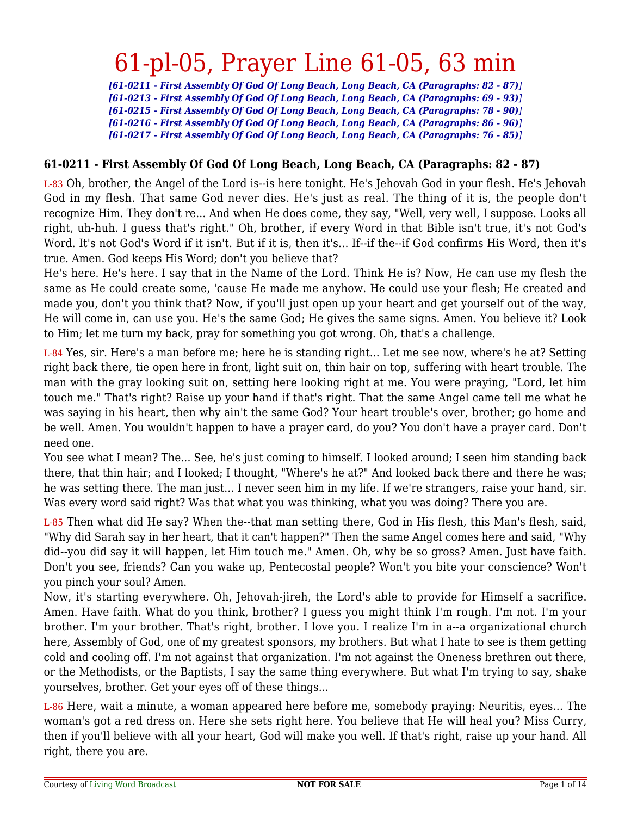*[61-0211 - First Assembly Of God Of Long Beach, Long Beach, CA (Paragraphs: 82 - 87)] [61-0213 - First Assembly Of God Of Long Beach, Long Beach, CA (Paragraphs: 69 - 93)] [61-0215 - First Assembly Of God Of Long Beach, Long Beach, CA (Paragraphs: 78 - 90)] [61-0216 - First Assembly Of God Of Long Beach, Long Beach, CA (Paragraphs: 86 - 96)] [61-0217 - First Assembly Of God Of Long Beach, Long Beach, CA (Paragraphs: 76 - 85)]*

#### **61-0211 - First Assembly Of God Of Long Beach, Long Beach, CA (Paragraphs: 82 - 87)**

L-83 Oh, brother, the Angel of the Lord is--is here tonight. He's Jehovah God in your flesh. He's Jehovah God in my flesh. That same God never dies. He's just as real. The thing of it is, the people don't recognize Him. They don't re... And when He does come, they say, "Well, very well, I suppose. Looks all right, uh-huh. I guess that's right." Oh, brother, if every Word in that Bible isn't true, it's not God's Word. It's not God's Word if it isn't. But if it is, then it's... If--if the--if God confirms His Word, then it's true. Amen. God keeps His Word; don't you believe that?

He's here. He's here. I say that in the Name of the Lord. Think He is? Now, He can use my flesh the same as He could create some, 'cause He made me anyhow. He could use your flesh; He created and made you, don't you think that? Now, if you'll just open up your heart and get yourself out of the way, He will come in, can use you. He's the same God; He gives the same signs. Amen. You believe it? Look to Him; let me turn my back, pray for something you got wrong. Oh, that's a challenge.

L-84 Yes, sir. Here's a man before me; here he is standing right... Let me see now, where's he at? Setting right back there, tie open here in front, light suit on, thin hair on top, suffering with heart trouble. The man with the gray looking suit on, setting here looking right at me. You were praying, "Lord, let him touch me." That's right? Raise up your hand if that's right. That the same Angel came tell me what he was saying in his heart, then why ain't the same God? Your heart trouble's over, brother; go home and be well. Amen. You wouldn't happen to have a prayer card, do you? You don't have a prayer card. Don't need one.

You see what I mean? The... See, he's just coming to himself. I looked around; I seen him standing back there, that thin hair; and I looked; I thought, "Where's he at?" And looked back there and there he was; he was setting there. The man just... I never seen him in my life. If we're strangers, raise your hand, sir. Was every word said right? Was that what you was thinking, what you was doing? There you are.

L-85 Then what did He say? When the--that man setting there, God in His flesh, this Man's flesh, said, "Why did Sarah say in her heart, that it can't happen?" Then the same Angel comes here and said, "Why did--you did say it will happen, let Him touch me." Amen. Oh, why be so gross? Amen. Just have faith. Don't you see, friends? Can you wake up, Pentecostal people? Won't you bite your conscience? Won't you pinch your soul? Amen.

Now, it's starting everywhere. Oh, Jehovah-jireh, the Lord's able to provide for Himself a sacrifice. Amen. Have faith. What do you think, brother? I guess you might think I'm rough. I'm not. I'm your brother. I'm your brother. That's right, brother. I love you. I realize I'm in a--a organizational church here, Assembly of God, one of my greatest sponsors, my brothers. But what I hate to see is them getting cold and cooling off. I'm not against that organization. I'm not against the Oneness brethren out there, or the Methodists, or the Baptists, I say the same thing everywhere. But what I'm trying to say, shake yourselves, brother. Get your eyes off of these things...

L-86 Here, wait a minute, a woman appeared here before me, somebody praying: Neuritis, eyes... The woman's got a red dress on. Here she sets right here. You believe that He will heal you? Miss Curry, then if you'll believe with all your heart, God will make you well. If that's right, raise up your hand. All right, there you are.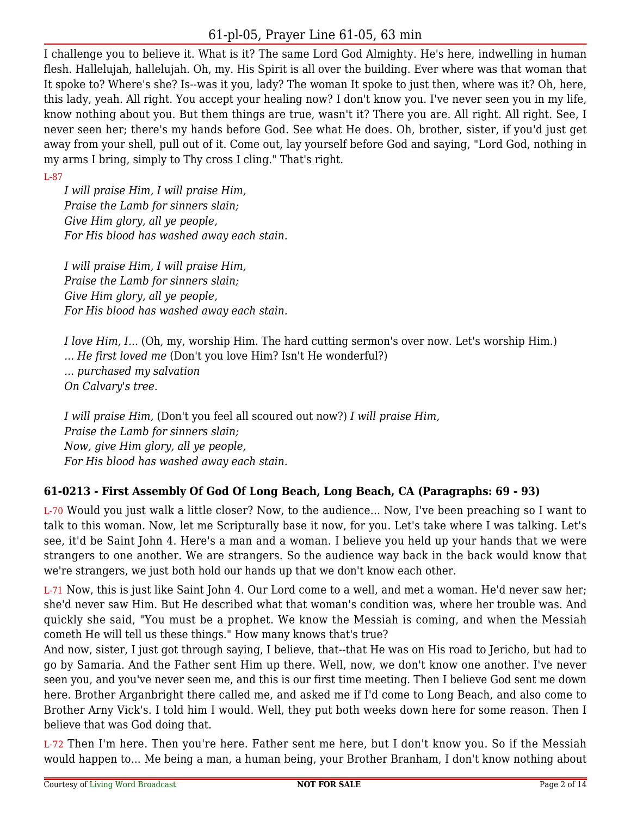I challenge you to believe it. What is it? The same Lord God Almighty. He's here, indwelling in human flesh. Hallelujah, hallelujah. Oh, my. His Spirit is all over the building. Ever where was that woman that It spoke to? Where's she? Is--was it you, lady? The woman It spoke to just then, where was it? Oh, here, this lady, yeah. All right. You accept your healing now? I don't know you. I've never seen you in my life, know nothing about you. But them things are true, wasn't it? There you are. All right. All right. See, I never seen her; there's my hands before God. See what He does. Oh, brother, sister, if you'd just get away from your shell, pull out of it. Come out, lay yourself before God and saying, "Lord God, nothing in my arms I bring, simply to Thy cross I cling." That's right.

#### L-87

*I will praise Him, I will praise Him, Praise the Lamb for sinners slain; Give Him glory, all ye people, For His blood has washed away each stain.*

*I will praise Him, I will praise Him, Praise the Lamb for sinners slain; Give Him glory, all ye people, For His blood has washed away each stain.*

*I love Him, I...* (Oh, my, worship Him. The hard cutting sermon's over now. Let's worship Him.) *... He first loved me* (Don't you love Him? Isn't He wonderful?) *... purchased my salvation On Calvary's tree.*

*I will praise Him,* (Don't you feel all scoured out now?) *I will praise Him, Praise the Lamb for sinners slain; Now, give Him glory, all ye people, For His blood has washed away each stain.*

## **61-0213 - First Assembly Of God Of Long Beach, Long Beach, CA (Paragraphs: 69 - 93)**

L-70 Would you just walk a little closer? Now, to the audience... Now, I've been preaching so I want to talk to this woman. Now, let me Scripturally base it now, for you. Let's take where I was talking. Let's see, it'd be Saint John 4. Here's a man and a woman. I believe you held up your hands that we were strangers to one another. We are strangers. So the audience way back in the back would know that we're strangers, we just both hold our hands up that we don't know each other.

L-71 Now, this is just like Saint John 4. Our Lord come to a well, and met a woman. He'd never saw her; she'd never saw Him. But He described what that woman's condition was, where her trouble was. And quickly she said, "You must be a prophet. We know the Messiah is coming, and when the Messiah cometh He will tell us these things." How many knows that's true?

And now, sister, I just got through saying, I believe, that--that He was on His road to Jericho, but had to go by Samaria. And the Father sent Him up there. Well, now, we don't know one another. I've never seen you, and you've never seen me, and this is our first time meeting. Then I believe God sent me down here. Brother Arganbright there called me, and asked me if I'd come to Long Beach, and also come to Brother Arny Vick's. I told him I would. Well, they put both weeks down here for some reason. Then I believe that was God doing that.

L-72 Then I'm here. Then you're here. Father sent me here, but I don't know you. So if the Messiah would happen to... Me being a man, a human being, your Brother Branham, I don't know nothing about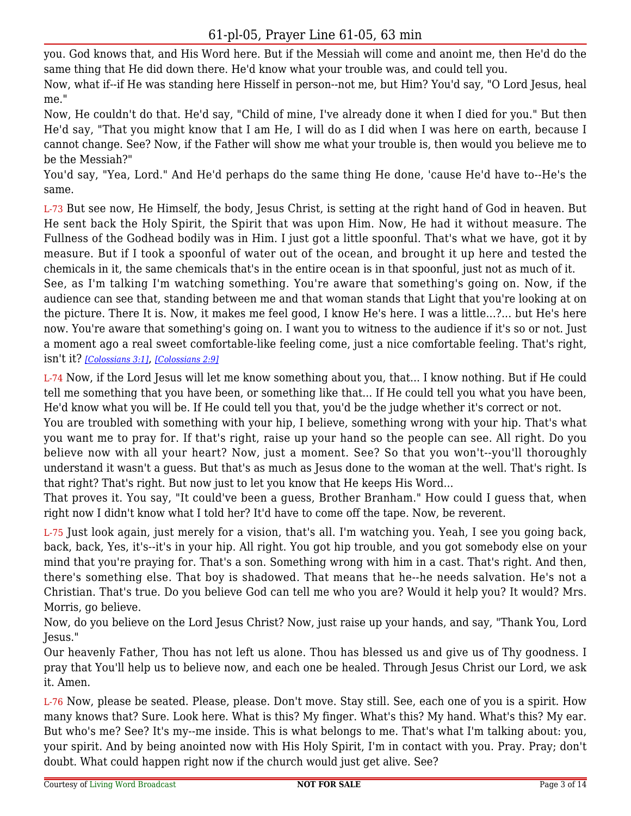you. God knows that, and His Word here. But if the Messiah will come and anoint me, then He'd do the same thing that He did down there. He'd know what your trouble was, and could tell you.

Now, what if--if He was standing here Hisself in person--not me, but Him? You'd say, "O Lord Jesus, heal me."

Now, He couldn't do that. He'd say, "Child of mine, I've already done it when I died for you." But then He'd say, "That you might know that I am He, I will do as I did when I was here on earth, because I cannot change. See? Now, if the Father will show me what your trouble is, then would you believe me to be the Messiah?"

You'd say, "Yea, Lord." And He'd perhaps do the same thing He done, 'cause He'd have to--He's the same.

L-73 But see now, He Himself, the body, Jesus Christ, is setting at the right hand of God in heaven. But He sent back the Holy Spirit, the Spirit that was upon Him. Now, He had it without measure. The Fullness of the Godhead bodily was in Him. I just got a little spoonful. That's what we have, got it by measure. But if I took a spoonful of water out of the ocean, and brought it up here and tested the chemicals in it, the same chemicals that's in the entire ocean is in that spoonful, just not as much of it.

See, as I'm talking I'm watching something. You're aware that something's going on. Now, if the audience can see that, standing between me and that woman stands that Light that you're looking at on the picture. There It is. Now, it makes me feel good, I know He's here. I was a little...?... but He's here now. You're aware that something's going on. I want you to witness to the audience if it's so or not. Just a moment ago a real sweet comfortable-like feeling come, just a nice comfortable feeling. That's right, isn't it? *[\[Colossians 3:1\]](https://lwbcast.net/LWBKJVBible/?scripture=Colossians3:1)*, *[\[Colossians 2:9\]](https://lwbcast.net/LWBKJVBible/?scripture=Colossians2:9)*

L-74 Now, if the Lord Jesus will let me know something about you, that... I know nothing. But if He could tell me something that you have been, or something like that... If He could tell you what you have been, He'd know what you will be. If He could tell you that, you'd be the judge whether it's correct or not.

You are troubled with something with your hip, I believe, something wrong with your hip. That's what you want me to pray for. If that's right, raise up your hand so the people can see. All right. Do you believe now with all your heart? Now, just a moment. See? So that you won't--you'll thoroughly understand it wasn't a guess. But that's as much as Jesus done to the woman at the well. That's right. Is that right? That's right. But now just to let you know that He keeps His Word...

That proves it. You say, "It could've been a guess, Brother Branham." How could I guess that, when right now I didn't know what I told her? It'd have to come off the tape. Now, be reverent.

L-75 Just look again, just merely for a vision, that's all. I'm watching you. Yeah, I see you going back, back, back, Yes, it's--it's in your hip. All right. You got hip trouble, and you got somebody else on your mind that you're praying for. That's a son. Something wrong with him in a cast. That's right. And then, there's something else. That boy is shadowed. That means that he--he needs salvation. He's not a Christian. That's true. Do you believe God can tell me who you are? Would it help you? It would? Mrs. Morris, go believe.

Now, do you believe on the Lord Jesus Christ? Now, just raise up your hands, and say, "Thank You, Lord Jesus."

Our heavenly Father, Thou has not left us alone. Thou has blessed us and give us of Thy goodness. I pray that You'll help us to believe now, and each one be healed. Through Jesus Christ our Lord, we ask it. Amen.

L-76 Now, please be seated. Please, please. Don't move. Stay still. See, each one of you is a spirit. How many knows that? Sure. Look here. What is this? My finger. What's this? My hand. What's this? My ear. But who's me? See? It's my--me inside. This is what belongs to me. That's what I'm talking about: you, your spirit. And by being anointed now with His Holy Spirit, I'm in contact with you. Pray. Pray; don't doubt. What could happen right now if the church would just get alive. See?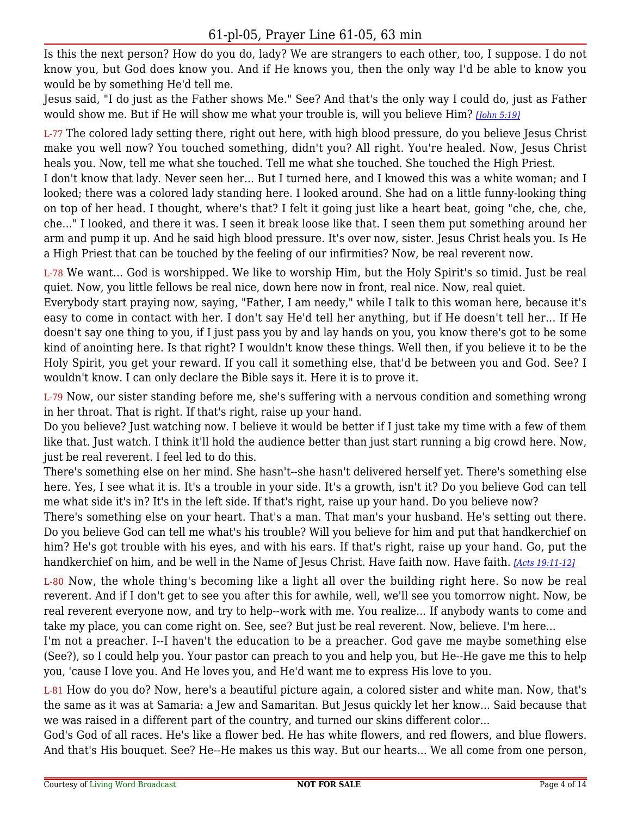Is this the next person? How do you do, lady? We are strangers to each other, too, I suppose. I do not know you, but God does know you. And if He knows you, then the only way I'd be able to know you would be by something He'd tell me.

Jesus said, "I do just as the Father shows Me." See? And that's the only way I could do, just as Father would show me. But if He will show me what your trouble is, will you believe Him? *[\[John 5:19\]](https://lwbcast.net/LWBKJVBible/?scripture=John5:19)*

L-77 The colored lady setting there, right out here, with high blood pressure, do you believe Jesus Christ make you well now? You touched something, didn't you? All right. You're healed. Now, Jesus Christ heals you. Now, tell me what she touched. Tell me what she touched. She touched the High Priest.

I don't know that lady. Never seen her... But I turned here, and I knowed this was a white woman; and I looked; there was a colored lady standing here. I looked around. She had on a little funny-looking thing on top of her head. I thought, where's that? I felt it going just like a heart beat, going "che, che, che, che..." I looked, and there it was. I seen it break loose like that. I seen them put something around her arm and pump it up. And he said high blood pressure. It's over now, sister. Jesus Christ heals you. Is He a High Priest that can be touched by the feeling of our infirmities? Now, be real reverent now.

L-78 We want... God is worshipped. We like to worship Him, but the Holy Spirit's so timid. Just be real quiet. Now, you little fellows be real nice, down here now in front, real nice. Now, real quiet.

Everybody start praying now, saying, "Father, I am needy," while I talk to this woman here, because it's easy to come in contact with her. I don't say He'd tell her anything, but if He doesn't tell her... If He doesn't say one thing to you, if I just pass you by and lay hands on you, you know there's got to be some kind of anointing here. Is that right? I wouldn't know these things. Well then, if you believe it to be the Holy Spirit, you get your reward. If you call it something else, that'd be between you and God. See? I wouldn't know. I can only declare the Bible says it. Here it is to prove it.

L-79 Now, our sister standing before me, she's suffering with a nervous condition and something wrong in her throat. That is right. If that's right, raise up your hand.

Do you believe? Just watching now. I believe it would be better if I just take my time with a few of them like that. Just watch. I think it'll hold the audience better than just start running a big crowd here. Now, just be real reverent. I feel led to do this.

There's something else on her mind. She hasn't--she hasn't delivered herself yet. There's something else here. Yes, I see what it is. It's a trouble in your side. It's a growth, isn't it? Do you believe God can tell me what side it's in? It's in the left side. If that's right, raise up your hand. Do you believe now?

There's something else on your heart. That's a man. That man's your husband. He's setting out there. Do you believe God can tell me what's his trouble? Will you believe for him and put that handkerchief on him? He's got trouble with his eyes, and with his ears. If that's right, raise up your hand. Go, put the handkerchief on him, and be well in the Name of Jesus Christ. Have faith now. Have faith. *[\[Acts 19:11-12\]](https://lwbcast.net/LWBKJVBible/?scripture=Acts19:11)*

L-80 Now, the whole thing's becoming like a light all over the building right here. So now be real reverent. And if I don't get to see you after this for awhile, well, we'll see you tomorrow night. Now, be real reverent everyone now, and try to help--work with me. You realize... If anybody wants to come and take my place, you can come right on. See, see? But just be real reverent. Now, believe. I'm here...

I'm not a preacher. I--I haven't the education to be a preacher. God gave me maybe something else (See?), so I could help you. Your pastor can preach to you and help you, but He--He gave me this to help you, 'cause I love you. And He loves you, and He'd want me to express His love to you.

L-81 How do you do? Now, here's a beautiful picture again, a colored sister and white man. Now, that's the same as it was at Samaria: a Jew and Samaritan. But Jesus quickly let her know... Said because that we was raised in a different part of the country, and turned our skins different color...

God's God of all races. He's like a flower bed. He has white flowers, and red flowers, and blue flowers. And that's His bouquet. See? He--He makes us this way. But our hearts... We all come from one person,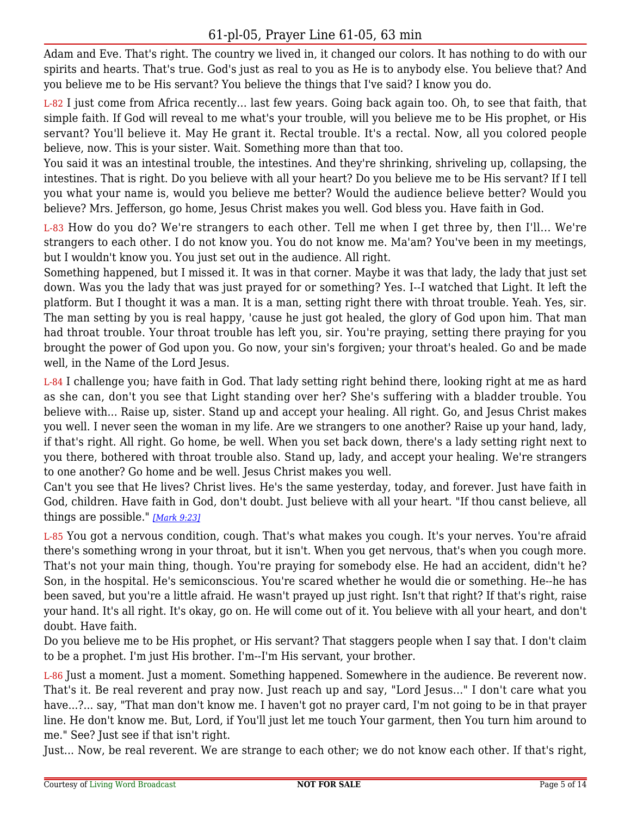Adam and Eve. That's right. The country we lived in, it changed our colors. It has nothing to do with our spirits and hearts. That's true. God's just as real to you as He is to anybody else. You believe that? And you believe me to be His servant? You believe the things that I've said? I know you do.

L-82 I just come from Africa recently... last few years. Going back again too. Oh, to see that faith, that simple faith. If God will reveal to me what's your trouble, will you believe me to be His prophet, or His servant? You'll believe it. May He grant it. Rectal trouble. It's a rectal. Now, all you colored people believe, now. This is your sister. Wait. Something more than that too.

You said it was an intestinal trouble, the intestines. And they're shrinking, shriveling up, collapsing, the intestines. That is right. Do you believe with all your heart? Do you believe me to be His servant? If I tell you what your name is, would you believe me better? Would the audience believe better? Would you believe? Mrs. Jefferson, go home, Jesus Christ makes you well. God bless you. Have faith in God.

L-83 How do you do? We're strangers to each other. Tell me when I get three by, then I'll... We're strangers to each other. I do not know you. You do not know me. Ma'am? You've been in my meetings, but I wouldn't know you. You just set out in the audience. All right.

Something happened, but I missed it. It was in that corner. Maybe it was that lady, the lady that just set down. Was you the lady that was just prayed for or something? Yes. I--I watched that Light. It left the platform. But I thought it was a man. It is a man, setting right there with throat trouble. Yeah. Yes, sir. The man setting by you is real happy, 'cause he just got healed, the glory of God upon him. That man had throat trouble. Your throat trouble has left you, sir. You're praying, setting there praying for you brought the power of God upon you. Go now, your sin's forgiven; your throat's healed. Go and be made well, in the Name of the Lord Jesus.

L-84 I challenge you; have faith in God. That lady setting right behind there, looking right at me as hard as she can, don't you see that Light standing over her? She's suffering with a bladder trouble. You believe with... Raise up, sister. Stand up and accept your healing. All right. Go, and Jesus Christ makes you well. I never seen the woman in my life. Are we strangers to one another? Raise up your hand, lady, if that's right. All right. Go home, be well. When you set back down, there's a lady setting right next to you there, bothered with throat trouble also. Stand up, lady, and accept your healing. We're strangers to one another? Go home and be well. Jesus Christ makes you well.

Can't you see that He lives? Christ lives. He's the same yesterday, today, and forever. Just have faith in God, children. Have faith in God, don't doubt. Just believe with all your heart. "If thou canst believe, all things are possible." *[\[Mark 9:23\]](https://lwbcast.net/LWBKJVBible/?scripture=Mark9:23)*

L-85 You got a nervous condition, cough. That's what makes you cough. It's your nerves. You're afraid there's something wrong in your throat, but it isn't. When you get nervous, that's when you cough more. That's not your main thing, though. You're praying for somebody else. He had an accident, didn't he? Son, in the hospital. He's semiconscious. You're scared whether he would die or something. He--he has been saved, but you're a little afraid. He wasn't prayed up just right. Isn't that right? If that's right, raise your hand. It's all right. It's okay, go on. He will come out of it. You believe with all your heart, and don't doubt. Have faith.

Do you believe me to be His prophet, or His servant? That staggers people when I say that. I don't claim to be a prophet. I'm just His brother. I'm--I'm His servant, your brother.

L-86 Just a moment. Just a moment. Something happened. Somewhere in the audience. Be reverent now. That's it. Be real reverent and pray now. Just reach up and say, "Lord Jesus..." I don't care what you have...?... say, "That man don't know me. I haven't got no prayer card, I'm not going to be in that prayer line. He don't know me. But, Lord, if You'll just let me touch Your garment, then You turn him around to me." See? Just see if that isn't right.

Just... Now, be real reverent. We are strange to each other; we do not know each other. If that's right,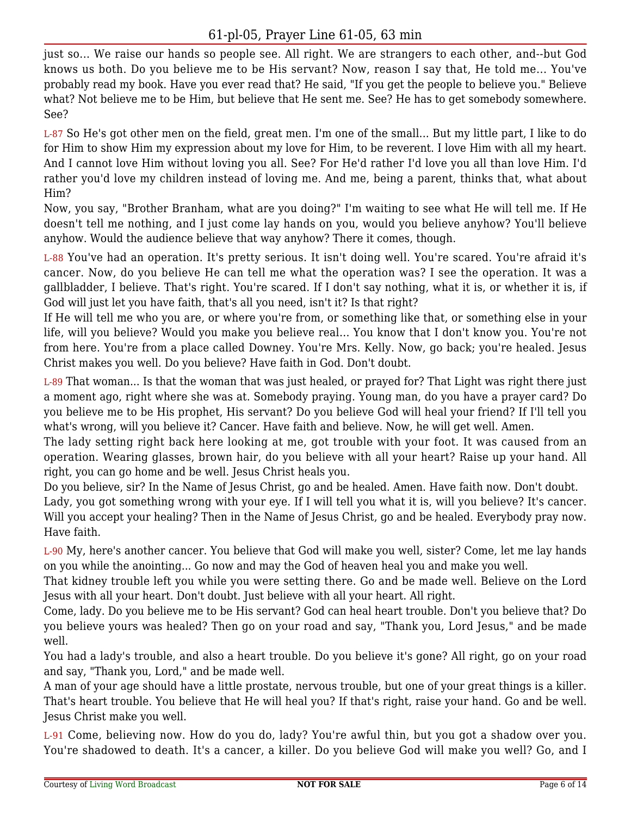just so... We raise our hands so people see. All right. We are strangers to each other, and--but God knows us both. Do you believe me to be His servant? Now, reason I say that, He told me... You've probably read my book. Have you ever read that? He said, "If you get the people to believe you." Believe what? Not believe me to be Him, but believe that He sent me. See? He has to get somebody somewhere. See?

L-87 So He's got other men on the field, great men. I'm one of the small... But my little part, I like to do for Him to show Him my expression about my love for Him, to be reverent. I love Him with all my heart. And I cannot love Him without loving you all. See? For He'd rather I'd love you all than love Him. I'd rather you'd love my children instead of loving me. And me, being a parent, thinks that, what about Him?

Now, you say, "Brother Branham, what are you doing?" I'm waiting to see what He will tell me. If He doesn't tell me nothing, and I just come lay hands on you, would you believe anyhow? You'll believe anyhow. Would the audience believe that way anyhow? There it comes, though.

L-88 You've had an operation. It's pretty serious. It isn't doing well. You're scared. You're afraid it's cancer. Now, do you believe He can tell me what the operation was? I see the operation. It was a gallbladder, I believe. That's right. You're scared. If I don't say nothing, what it is, or whether it is, if God will just let you have faith, that's all you need, isn't it? Is that right?

If He will tell me who you are, or where you're from, or something like that, or something else in your life, will you believe? Would you make you believe real... You know that I don't know you. You're not from here. You're from a place called Downey. You're Mrs. Kelly. Now, go back; you're healed. Jesus Christ makes you well. Do you believe? Have faith in God. Don't doubt.

L-89 That woman... Is that the woman that was just healed, or prayed for? That Light was right there just a moment ago, right where she was at. Somebody praying. Young man, do you have a prayer card? Do you believe me to be His prophet, His servant? Do you believe God will heal your friend? If I'll tell you what's wrong, will you believe it? Cancer. Have faith and believe. Now, he will get well. Amen.

The lady setting right back here looking at me, got trouble with your foot. It was caused from an operation. Wearing glasses, brown hair, do you believe with all your heart? Raise up your hand. All right, you can go home and be well. Jesus Christ heals you.

Do you believe, sir? In the Name of Jesus Christ, go and be healed. Amen. Have faith now. Don't doubt. Lady, you got something wrong with your eye. If I will tell you what it is, will you believe? It's cancer. Will you accept your healing? Then in the Name of Jesus Christ, go and be healed. Everybody pray now. Have faith.

L-90 My, here's another cancer. You believe that God will make you well, sister? Come, let me lay hands on you while the anointing... Go now and may the God of heaven heal you and make you well.

That kidney trouble left you while you were setting there. Go and be made well. Believe on the Lord Jesus with all your heart. Don't doubt. Just believe with all your heart. All right.

Come, lady. Do you believe me to be His servant? God can heal heart trouble. Don't you believe that? Do you believe yours was healed? Then go on your road and say, "Thank you, Lord Jesus," and be made well.

You had a lady's trouble, and also a heart trouble. Do you believe it's gone? All right, go on your road and say, "Thank you, Lord," and be made well.

A man of your age should have a little prostate, nervous trouble, but one of your great things is a killer. That's heart trouble. You believe that He will heal you? If that's right, raise your hand. Go and be well. Jesus Christ make you well.

L-91 Come, believing now. How do you do, lady? You're awful thin, but you got a shadow over you. You're shadowed to death. It's a cancer, a killer. Do you believe God will make you well? Go, and I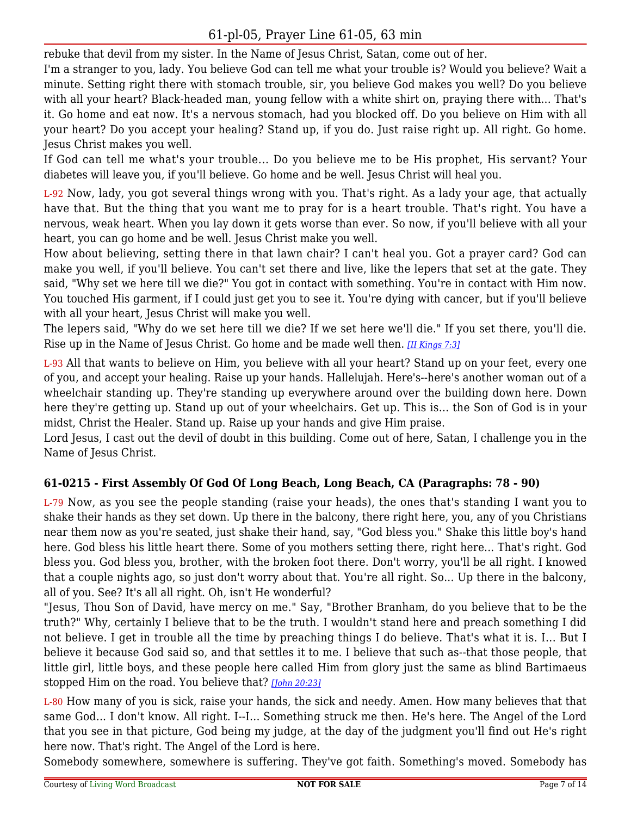rebuke that devil from my sister. In the Name of Jesus Christ, Satan, come out of her.

I'm a stranger to you, lady. You believe God can tell me what your trouble is? Would you believe? Wait a minute. Setting right there with stomach trouble, sir, you believe God makes you well? Do you believe with all your heart? Black-headed man, young fellow with a white shirt on, praying there with... That's it. Go home and eat now. It's a nervous stomach, had you blocked off. Do you believe on Him with all your heart? Do you accept your healing? Stand up, if you do. Just raise right up. All right. Go home. Jesus Christ makes you well.

If God can tell me what's your trouble... Do you believe me to be His prophet, His servant? Your diabetes will leave you, if you'll believe. Go home and be well. Jesus Christ will heal you.

L-92 Now, lady, you got several things wrong with you. That's right. As a lady your age, that actually have that. But the thing that you want me to pray for is a heart trouble. That's right. You have a nervous, weak heart. When you lay down it gets worse than ever. So now, if you'll believe with all your heart, you can go home and be well. Jesus Christ make you well.

How about believing, setting there in that lawn chair? I can't heal you. Got a prayer card? God can make you well, if you'll believe. You can't set there and live, like the lepers that set at the gate. They said, "Why set we here till we die?" You got in contact with something. You're in contact with Him now. You touched His garment, if I could just get you to see it. You're dying with cancer, but if you'll believe with all your heart, Jesus Christ will make you well.

The lepers said, "Why do we set here till we die? If we set here we'll die." If you set there, you'll die. Rise up in the Name of Jesus Christ. Go home and be made well then. *[\[II Kings 7:3\]](https://lwbcast.net/LWBKJVBible/?scripture=2_Kings7:3)*

L-93 All that wants to believe on Him, you believe with all your heart? Stand up on your feet, every one of you, and accept your healing. Raise up your hands. Hallelujah. Here's--here's another woman out of a wheelchair standing up. They're standing up everywhere around over the building down here. Down here they're getting up. Stand up out of your wheelchairs. Get up. This is... the Son of God is in your midst, Christ the Healer. Stand up. Raise up your hands and give Him praise.

Lord Jesus, I cast out the devil of doubt in this building. Come out of here, Satan, I challenge you in the Name of Jesus Christ.

## **61-0215 - First Assembly Of God Of Long Beach, Long Beach, CA (Paragraphs: 78 - 90)**

L-79 Now, as you see the people standing (raise your heads), the ones that's standing I want you to shake their hands as they set down. Up there in the balcony, there right here, you, any of you Christians near them now as you're seated, just shake their hand, say, "God bless you." Shake this little boy's hand here. God bless his little heart there. Some of you mothers setting there, right here... That's right. God bless you. God bless you, brother, with the broken foot there. Don't worry, you'll be all right. I knowed that a couple nights ago, so just don't worry about that. You're all right. So... Up there in the balcony, all of you. See? It's all all right. Oh, isn't He wonderful?

"Jesus, Thou Son of David, have mercy on me." Say, "Brother Branham, do you believe that to be the truth?" Why, certainly I believe that to be the truth. I wouldn't stand here and preach something I did not believe. I get in trouble all the time by preaching things I do believe. That's what it is. I... But I believe it because God said so, and that settles it to me. I believe that such as--that those people, that little girl, little boys, and these people here called Him from glory just the same as blind Bartimaeus stopped Him on the road. You believe that? *[\[John 20:23\]](https://lwbcast.net/LWBKJVBible/?scripture=John20:23)*

L-80 How many of you is sick, raise your hands, the sick and needy. Amen. How many believes that that same God... I don't know. All right. I--I... Something struck me then. He's here. The Angel of the Lord that you see in that picture, God being my judge, at the day of the judgment you'll find out He's right here now. That's right. The Angel of the Lord is here.

Somebody somewhere, somewhere is suffering. They've got faith. Something's moved. Somebody has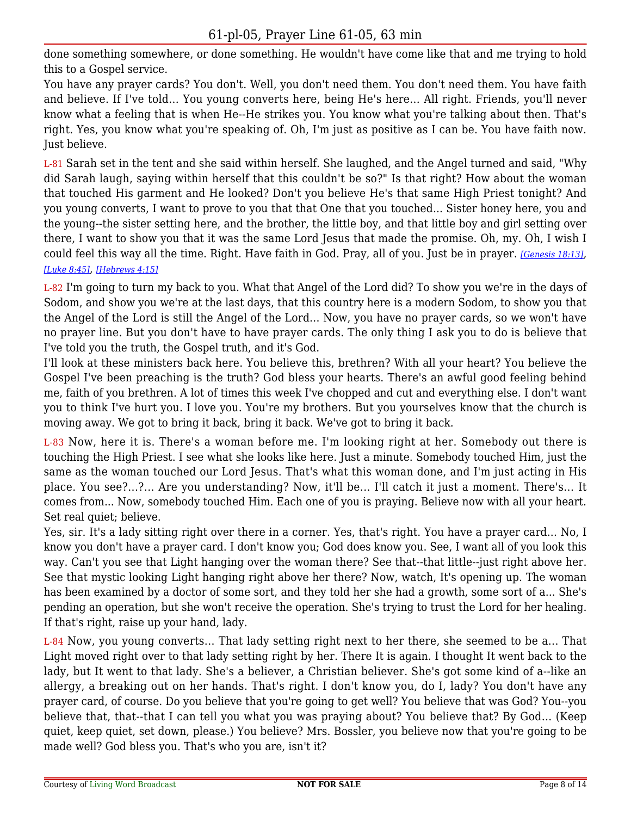done something somewhere, or done something. He wouldn't have come like that and me trying to hold this to a Gospel service.

You have any prayer cards? You don't. Well, you don't need them. You don't need them. You have faith and believe. If I've told... You young converts here, being He's here... All right. Friends, you'll never know what a feeling that is when He--He strikes you. You know what you're talking about then. That's right. Yes, you know what you're speaking of. Oh, I'm just as positive as I can be. You have faith now. Just believe.

L-81 Sarah set in the tent and she said within herself. She laughed, and the Angel turned and said, "Why did Sarah laugh, saying within herself that this couldn't be so?" Is that right? How about the woman that touched His garment and He looked? Don't you believe He's that same High Priest tonight? And you young converts, I want to prove to you that that One that you touched... Sister honey here, you and the young--the sister setting here, and the brother, the little boy, and that little boy and girl setting over there, I want to show you that it was the same Lord Jesus that made the promise. Oh, my. Oh, I wish I could feel this way all the time. Right. Have faith in God. Pray, all of you. Just be in prayer. *[\[Genesis 18:13\]](https://lwbcast.net/LWBKJVBible/?scripture=Genesis18:13)*, *[\[Luke 8:45\]](https://lwbcast.net/LWBKJVBible/?scripture=Luke8:45)*, *[\[Hebrews 4:15\]](https://lwbcast.net/LWBKJVBible/?scripture=Hebrews4:15)*

#### L-82 I'm going to turn my back to you. What that Angel of the Lord did? To show you we're in the days of Sodom, and show you we're at the last days, that this country here is a modern Sodom, to show you that the Angel of the Lord is still the Angel of the Lord... Now, you have no prayer cards, so we won't have no prayer line. But you don't have to have prayer cards. The only thing I ask you to do is believe that I've told you the truth, the Gospel truth, and it's God.

I'll look at these ministers back here. You believe this, brethren? With all your heart? You believe the Gospel I've been preaching is the truth? God bless your hearts. There's an awful good feeling behind me, faith of you brethren. A lot of times this week I've chopped and cut and everything else. I don't want you to think I've hurt you. I love you. You're my brothers. But you yourselves know that the church is moving away. We got to bring it back, bring it back. We've got to bring it back.

L-83 Now, here it is. There's a woman before me. I'm looking right at her. Somebody out there is touching the High Priest. I see what she looks like here. Just a minute. Somebody touched Him, just the same as the woman touched our Lord Jesus. That's what this woman done, and I'm just acting in His place. You see?...?... Are you understanding? Now, it'll be... I'll catch it just a moment. There's... It comes from... Now, somebody touched Him. Each one of you is praying. Believe now with all your heart. Set real quiet; believe.

Yes, sir. It's a lady sitting right over there in a corner. Yes, that's right. You have a prayer card... No, I know you don't have a prayer card. I don't know you; God does know you. See, I want all of you look this way. Can't you see that Light hanging over the woman there? See that--that little--just right above her. See that mystic looking Light hanging right above her there? Now, watch, It's opening up. The woman has been examined by a doctor of some sort, and they told her she had a growth, some sort of a... She's pending an operation, but she won't receive the operation. She's trying to trust the Lord for her healing. If that's right, raise up your hand, lady.

L-84 Now, you young converts... That lady setting right next to her there, she seemed to be a... That Light moved right over to that lady setting right by her. There It is again. I thought It went back to the lady, but It went to that lady. She's a believer, a Christian believer. She's got some kind of a--like an allergy, a breaking out on her hands. That's right. I don't know you, do I, lady? You don't have any prayer card, of course. Do you believe that you're going to get well? You believe that was God? You--you believe that, that--that I can tell you what you was praying about? You believe that? By God... (Keep quiet, keep quiet, set down, please.) You believe? Mrs. Bossler, you believe now that you're going to be made well? God bless you. That's who you are, isn't it?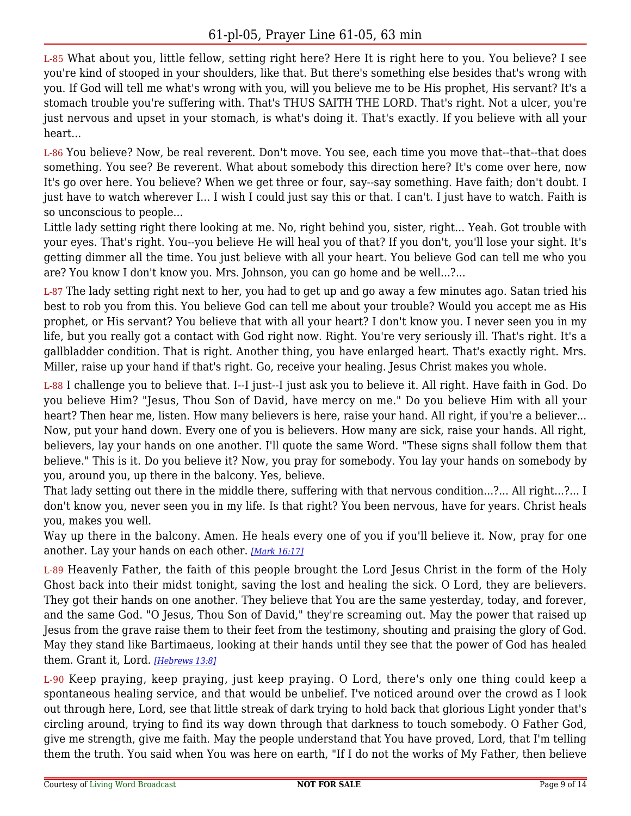L-85 What about you, little fellow, setting right here? Here It is right here to you. You believe? I see you're kind of stooped in your shoulders, like that. But there's something else besides that's wrong with you. If God will tell me what's wrong with you, will you believe me to be His prophet, His servant? It's a stomach trouble you're suffering with. That's THUS SAITH THE LORD. That's right. Not a ulcer, you're just nervous and upset in your stomach, is what's doing it. That's exactly. If you believe with all your heart...

L-86 You believe? Now, be real reverent. Don't move. You see, each time you move that--that--that does something. You see? Be reverent. What about somebody this direction here? It's come over here, now It's go over here. You believe? When we get three or four, say--say something. Have faith; don't doubt. I just have to watch wherever I... I wish I could just say this or that. I can't. I just have to watch. Faith is so unconscious to people...

Little lady setting right there looking at me. No, right behind you, sister, right... Yeah. Got trouble with your eyes. That's right. You--you believe He will heal you of that? If you don't, you'll lose your sight. It's getting dimmer all the time. You just believe with all your heart. You believe God can tell me who you are? You know I don't know you. Mrs. Johnson, you can go home and be well...?...

L-87 The lady setting right next to her, you had to get up and go away a few minutes ago. Satan tried his best to rob you from this. You believe God can tell me about your trouble? Would you accept me as His prophet, or His servant? You believe that with all your heart? I don't know you. I never seen you in my life, but you really got a contact with God right now. Right. You're very seriously ill. That's right. It's a gallbladder condition. That is right. Another thing, you have enlarged heart. That's exactly right. Mrs. Miller, raise up your hand if that's right. Go, receive your healing. Jesus Christ makes you whole.

L-88 I challenge you to believe that. I--I just--I just ask you to believe it. All right. Have faith in God. Do you believe Him? "Jesus, Thou Son of David, have mercy on me." Do you believe Him with all your heart? Then hear me, listen. How many believers is here, raise your hand. All right, if you're a believer... Now, put your hand down. Every one of you is believers. How many are sick, raise your hands. All right, believers, lay your hands on one another. I'll quote the same Word. "These signs shall follow them that believe." This is it. Do you believe it? Now, you pray for somebody. You lay your hands on somebody by you, around you, up there in the balcony. Yes, believe.

That lady setting out there in the middle there, suffering with that nervous condition...?... All right...?... I don't know you, never seen you in my life. Is that right? You been nervous, have for years. Christ heals you, makes you well.

Way up there in the balcony. Amen. He heals every one of you if you'll believe it. Now, pray for one another. Lay your hands on each other. *[\[Mark 16:17\]](https://lwbcast.net/LWBKJVBible/?scripture=Mark16:17)*

L-89 Heavenly Father, the faith of this people brought the Lord Jesus Christ in the form of the Holy Ghost back into their midst tonight, saving the lost and healing the sick. O Lord, they are believers. They got their hands on one another. They believe that You are the same yesterday, today, and forever, and the same God. "O Jesus, Thou Son of David," they're screaming out. May the power that raised up Jesus from the grave raise them to their feet from the testimony, shouting and praising the glory of God. May they stand like Bartimaeus, looking at their hands until they see that the power of God has healed them. Grant it, Lord. *[\[Hebrews 13:8\]](https://lwbcast.net/LWBKJVBible/?scripture=Hebrews13:8)*

L-90 Keep praying, keep praying, just keep praying. O Lord, there's only one thing could keep a spontaneous healing service, and that would be unbelief. I've noticed around over the crowd as I look out through here, Lord, see that little streak of dark trying to hold back that glorious Light yonder that's circling around, trying to find its way down through that darkness to touch somebody. O Father God, give me strength, give me faith. May the people understand that You have proved, Lord, that I'm telling them the truth. You said when You was here on earth, "If I do not the works of My Father, then believe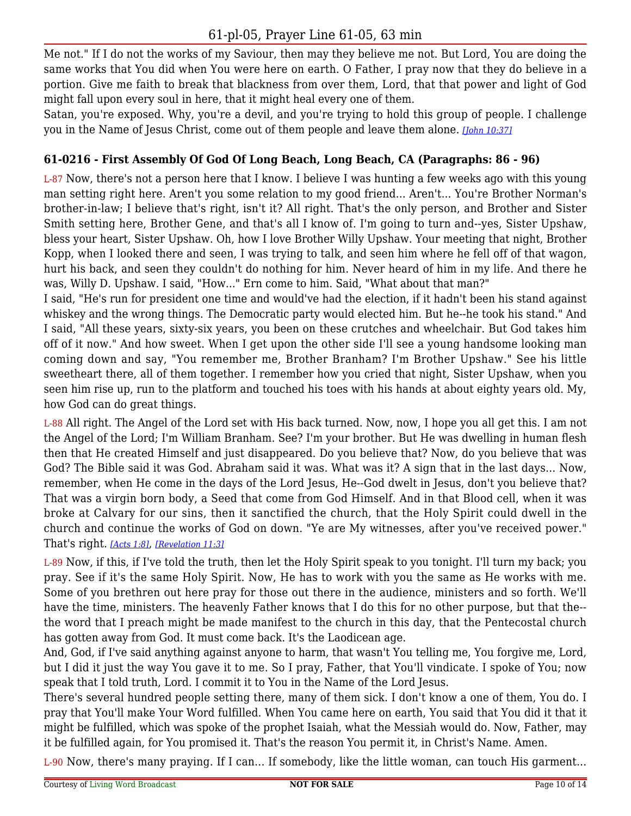Me not." If I do not the works of my Saviour, then may they believe me not. But Lord, You are doing the same works that You did when You were here on earth. O Father, I pray now that they do believe in a portion. Give me faith to break that blackness from over them, Lord, that that power and light of God might fall upon every soul in here, that it might heal every one of them.

Satan, you're exposed. Why, you're a devil, and you're trying to hold this group of people. I challenge you in the Name of Jesus Christ, come out of them people and leave them alone. *[\[John 10:37\]](https://lwbcast.net/LWBKJVBible/?scripture=John10:37)*

## **61-0216 - First Assembly Of God Of Long Beach, Long Beach, CA (Paragraphs: 86 - 96)**

L-87 Now, there's not a person here that I know. I believe I was hunting a few weeks ago with this young man setting right here. Aren't you some relation to my good friend... Aren't... You're Brother Norman's brother-in-law; I believe that's right, isn't it? All right. That's the only person, and Brother and Sister Smith setting here, Brother Gene, and that's all I know of. I'm going to turn and--yes, Sister Upshaw, bless your heart, Sister Upshaw. Oh, how I love Brother Willy Upshaw. Your meeting that night, Brother Kopp, when I looked there and seen, I was trying to talk, and seen him where he fell off of that wagon, hurt his back, and seen they couldn't do nothing for him. Never heard of him in my life. And there he was, Willy D. Upshaw. I said, "How..." Ern come to him. Said, "What about that man?"

I said, "He's run for president one time and would've had the election, if it hadn't been his stand against whiskey and the wrong things. The Democratic party would elected him. But he--he took his stand." And I said, "All these years, sixty-six years, you been on these crutches and wheelchair. But God takes him off of it now." And how sweet. When I get upon the other side I'll see a young handsome looking man coming down and say, "You remember me, Brother Branham? I'm Brother Upshaw." See his little sweetheart there, all of them together. I remember how you cried that night, Sister Upshaw, when you seen him rise up, run to the platform and touched his toes with his hands at about eighty years old. My, how God can do great things.

L-88 All right. The Angel of the Lord set with His back turned. Now, now, I hope you all get this. I am not the Angel of the Lord; I'm William Branham. See? I'm your brother. But He was dwelling in human flesh then that He created Himself and just disappeared. Do you believe that? Now, do you believe that was God? The Bible said it was God. Abraham said it was. What was it? A sign that in the last days... Now, remember, when He come in the days of the Lord Jesus, He--God dwelt in Jesus, don't you believe that? That was a virgin born body, a Seed that come from God Himself. And in that Blood cell, when it was broke at Calvary for our sins, then it sanctified the church, that the Holy Spirit could dwell in the church and continue the works of God on down. "Ye are My witnesses, after you've received power." That's right. *[\[Acts 1:8\]](https://lwbcast.net/LWBKJVBible/?scripture=Acts1:8)*, *[\[Revelation 11:3\]](https://lwbcast.net/LWBKJVBible/?scripture=Revelation11:3)*

L-89 Now, if this, if I've told the truth, then let the Holy Spirit speak to you tonight. I'll turn my back; you pray. See if it's the same Holy Spirit. Now, He has to work with you the same as He works with me. Some of you brethren out here pray for those out there in the audience, ministers and so forth. We'll have the time, ministers. The heavenly Father knows that I do this for no other purpose, but that the- the word that I preach might be made manifest to the church in this day, that the Pentecostal church has gotten away from God. It must come back. It's the Laodicean age.

And, God, if I've said anything against anyone to harm, that wasn't You telling me, You forgive me, Lord, but I did it just the way You gave it to me. So I pray, Father, that You'll vindicate. I spoke of You; now speak that I told truth, Lord. I commit it to You in the Name of the Lord Jesus.

There's several hundred people setting there, many of them sick. I don't know a one of them, You do. I pray that You'll make Your Word fulfilled. When You came here on earth, You said that You did it that it might be fulfilled, which was spoke of the prophet Isaiah, what the Messiah would do. Now, Father, may it be fulfilled again, for You promised it. That's the reason You permit it, in Christ's Name. Amen.

L-90 Now, there's many praying. If I can... If somebody, like the little woman, can touch His garment...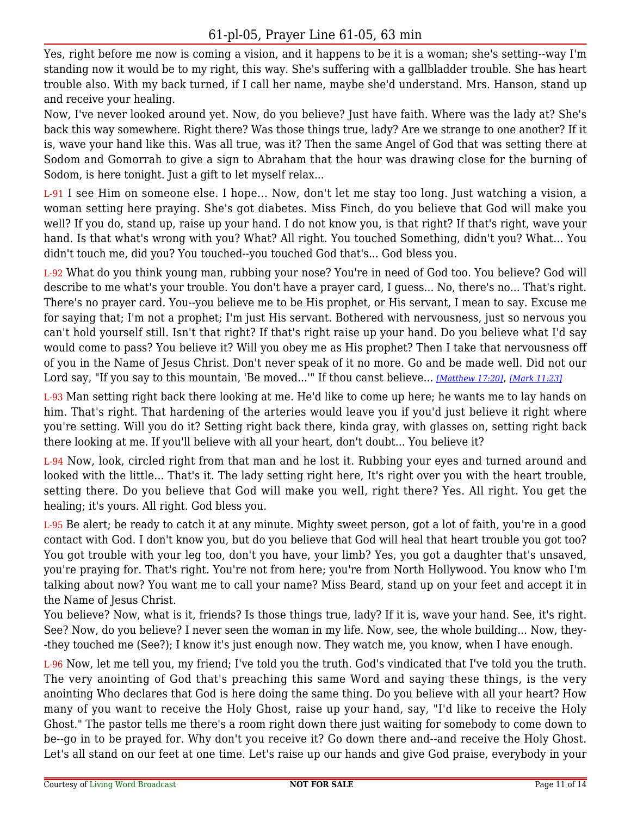Yes, right before me now is coming a vision, and it happens to be it is a woman; she's setting--way I'm standing now it would be to my right, this way. She's suffering with a gallbladder trouble. She has heart trouble also. With my back turned, if I call her name, maybe she'd understand. Mrs. Hanson, stand up and receive your healing.

Now, I've never looked around yet. Now, do you believe? Just have faith. Where was the lady at? She's back this way somewhere. Right there? Was those things true, lady? Are we strange to one another? If it is, wave your hand like this. Was all true, was it? Then the same Angel of God that was setting there at Sodom and Gomorrah to give a sign to Abraham that the hour was drawing close for the burning of Sodom, is here tonight. Just a gift to let myself relax...

L-91 I see Him on someone else. I hope... Now, don't let me stay too long. Just watching a vision, a woman setting here praying. She's got diabetes. Miss Finch, do you believe that God will make you well? If you do, stand up, raise up your hand. I do not know you, is that right? If that's right, wave your hand. Is that what's wrong with you? What? All right. You touched Something, didn't you? What... You didn't touch me, did you? You touched--you touched God that's... God bless you.

L-92 What do you think young man, rubbing your nose? You're in need of God too. You believe? God will describe to me what's your trouble. You don't have a prayer card, I guess... No, there's no... That's right. There's no prayer card. You--you believe me to be His prophet, or His servant, I mean to say. Excuse me for saying that; I'm not a prophet; I'm just His servant. Bothered with nervousness, just so nervous you can't hold yourself still. Isn't that right? If that's right raise up your hand. Do you believe what I'd say would come to pass? You believe it? Will you obey me as His prophet? Then I take that nervousness off of you in the Name of Jesus Christ. Don't never speak of it no more. Go and be made well. Did not our Lord say, "If you say to this mountain, 'Be moved...'" If thou canst believe... *[\[Matthew 17:20\]](https://lwbcast.net/LWBKJVBible/?scripture=Matthew17:20)*, *[\[Mark 11:23\]](https://lwbcast.net/LWBKJVBible/?scripture=Mark11:23)*

L-93 Man setting right back there looking at me. He'd like to come up here; he wants me to lay hands on him. That's right. That hardening of the arteries would leave you if you'd just believe it right where you're setting. Will you do it? Setting right back there, kinda gray, with glasses on, setting right back there looking at me. If you'll believe with all your heart, don't doubt... You believe it?

L-94 Now, look, circled right from that man and he lost it. Rubbing your eyes and turned around and looked with the little... That's it. The lady setting right here, It's right over you with the heart trouble, setting there. Do you believe that God will make you well, right there? Yes. All right. You get the healing; it's yours. All right. God bless you.

L-95 Be alert; be ready to catch it at any minute. Mighty sweet person, got a lot of faith, you're in a good contact with God. I don't know you, but do you believe that God will heal that heart trouble you got too? You got trouble with your leg too, don't you have, your limb? Yes, you got a daughter that's unsaved, you're praying for. That's right. You're not from here; you're from North Hollywood. You know who I'm talking about now? You want me to call your name? Miss Beard, stand up on your feet and accept it in the Name of Jesus Christ.

You believe? Now, what is it, friends? Is those things true, lady? If it is, wave your hand. See, it's right. See? Now, do you believe? I never seen the woman in my life. Now, see, the whole building... Now, they- -they touched me (See?); I know it's just enough now. They watch me, you know, when I have enough.

L-96 Now, let me tell you, my friend; I've told you the truth. God's vindicated that I've told you the truth. The very anointing of God that's preaching this same Word and saying these things, is the very anointing Who declares that God is here doing the same thing. Do you believe with all your heart? How many of you want to receive the Holy Ghost, raise up your hand, say, "I'd like to receive the Holy Ghost." The pastor tells me there's a room right down there just waiting for somebody to come down to be--go in to be prayed for. Why don't you receive it? Go down there and--and receive the Holy Ghost. Let's all stand on our feet at one time. Let's raise up our hands and give God praise, everybody in your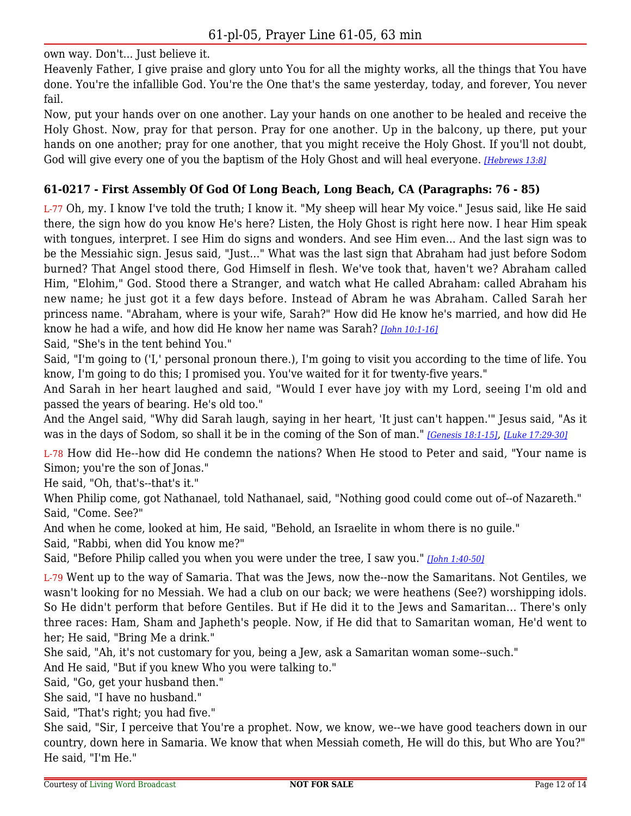own way. Don't... Just believe it.

Heavenly Father, I give praise and glory unto You for all the mighty works, all the things that You have done. You're the infallible God. You're the One that's the same yesterday, today, and forever, You never fail.

Now, put your hands over on one another. Lay your hands on one another to be healed and receive the Holy Ghost. Now, pray for that person. Pray for one another. Up in the balcony, up there, put your hands on one another; pray for one another, that you might receive the Holy Ghost. If you'll not doubt, God will give every one of you the baptism of the Holy Ghost and will heal everyone. *[\[Hebrews 13:8\]](https://lwbcast.net/LWBKJVBible/?scripture=Hebrews13:8)*

## **61-0217 - First Assembly Of God Of Long Beach, Long Beach, CA (Paragraphs: 76 - 85)**

L-77 Oh, my. I know I've told the truth; I know it. "My sheep will hear My voice." Jesus said, like He said there, the sign how do you know He's here? Listen, the Holy Ghost is right here now. I hear Him speak with tongues, interpret. I see Him do signs and wonders. And see Him even... And the last sign was to be the Messiahic sign. Jesus said, "Just..." What was the last sign that Abraham had just before Sodom burned? That Angel stood there, God Himself in flesh. We've took that, haven't we? Abraham called Him, "Elohim," God. Stood there a Stranger, and watch what He called Abraham: called Abraham his new name; he just got it a few days before. Instead of Abram he was Abraham. Called Sarah her princess name. "Abraham, where is your wife, Sarah?" How did He know he's married, and how did He know he had a wife, and how did He know her name was Sarah? *[\[John 10:1-16\]](https://lwbcast.net/LWBKJVBible/?scripture=John10:1)*

Said, "She's in the tent behind You."

Said, "I'm going to ('I,' personal pronoun there.), I'm going to visit you according to the time of life. You know, I'm going to do this; I promised you. You've waited for it for twenty-five years."

And Sarah in her heart laughed and said, "Would I ever have joy with my Lord, seeing I'm old and passed the years of bearing. He's old too."

And the Angel said, "Why did Sarah laugh, saying in her heart, 'It just can't happen.'" Jesus said, "As it was in the days of Sodom, so shall it be in the coming of the Son of man." *[\[Genesis 18:1-15\]](https://lwbcast.net/LWBKJVBible/?scripture=Genesis18:1)*, *[\[Luke 17:29-30\]](https://lwbcast.net/LWBKJVBible/?scripture=Luke17:29)*

L-78 How did He--how did He condemn the nations? When He stood to Peter and said, "Your name is Simon; you're the son of Jonas."

He said, "Oh, that's--that's it."

When Philip come, got Nathanael, told Nathanael, said, "Nothing good could come out of--of Nazareth." Said, "Come. See?"

And when he come, looked at him, He said, "Behold, an Israelite in whom there is no guile."

Said, "Rabbi, when did You know me?"

Said, "Before Philip called you when you were under the tree, I saw you." *[\[John 1:40-50\]](https://lwbcast.net/LWBKJVBible/?scripture=John1:40)*

L-79 Went up to the way of Samaria. That was the Jews, now the--now the Samaritans. Not Gentiles, we wasn't looking for no Messiah. We had a club on our back; we were heathens (See?) worshipping idols. So He didn't perform that before Gentiles. But if He did it to the Jews and Samaritan... There's only three races: Ham, Sham and Japheth's people. Now, if He did that to Samaritan woman, He'd went to her; He said, "Bring Me a drink."

She said, "Ah, it's not customary for you, being a Jew, ask a Samaritan woman some--such."

And He said, "But if you knew Who you were talking to."

Said, "Go, get your husband then."

She said, "I have no husband."

Said, "That's right; you had five."

She said, "Sir, I perceive that You're a prophet. Now, we know, we--we have good teachers down in our country, down here in Samaria. We know that when Messiah cometh, He will do this, but Who are You?" He said, "I'm He."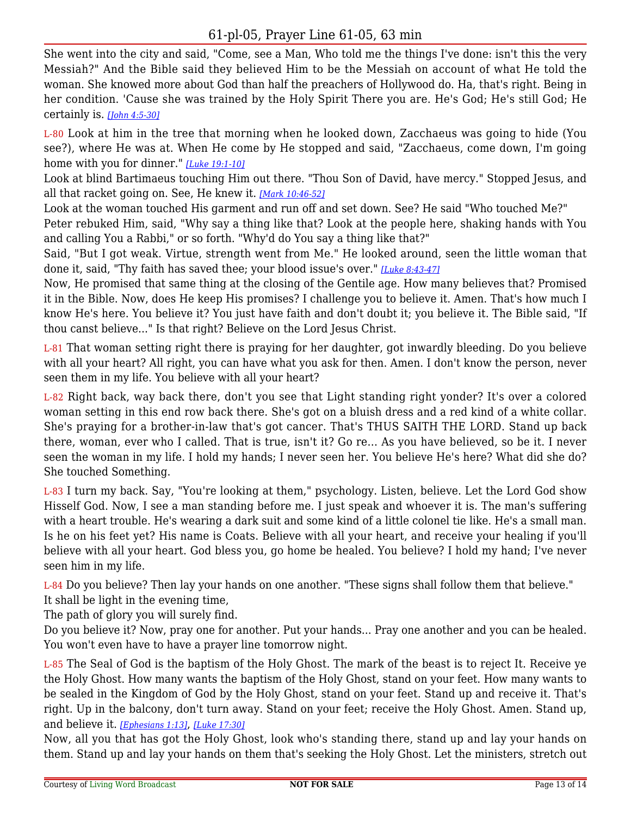She went into the city and said, "Come, see a Man, Who told me the things I've done: isn't this the very Messiah?" And the Bible said they believed Him to be the Messiah on account of what He told the woman. She knowed more about God than half the preachers of Hollywood do. Ha, that's right. Being in her condition. 'Cause she was trained by the Holy Spirit There you are. He's God; He's still God; He certainly is. *[\[John 4:5-30\]](https://lwbcast.net/LWBKJVBible/?scripture=John4:5)*

L-80 Look at him in the tree that morning when he looked down, Zacchaeus was going to hide (You see?), where He was at. When He come by He stopped and said, "Zacchaeus, come down, I'm going home with you for dinner." *[\[Luke 19:1-10\]](https://lwbcast.net/LWBKJVBible/?scripture=Luke19:1)*

Look at blind Bartimaeus touching Him out there. "Thou Son of David, have mercy." Stopped Jesus, and all that racket going on. See, He knew it. *[\[Mark 10:46-52\]](https://lwbcast.net/LWBKJVBible/?scripture=Mark10:46)*

Look at the woman touched His garment and run off and set down. See? He said "Who touched Me?" Peter rebuked Him, said, "Why say a thing like that? Look at the people here, shaking hands with You and calling You a Rabbi," or so forth. "Why'd do You say a thing like that?"

Said, "But I got weak. Virtue, strength went from Me." He looked around, seen the little woman that done it, said, "Thy faith has saved thee; your blood issue's over." *[\[Luke 8:43-47\]](https://lwbcast.net/LWBKJVBible/?scripture=Luke8:43)*

Now, He promised that same thing at the closing of the Gentile age. How many believes that? Promised it in the Bible. Now, does He keep His promises? I challenge you to believe it. Amen. That's how much I know He's here. You believe it? You just have faith and don't doubt it; you believe it. The Bible said, "If thou canst believe..." Is that right? Believe on the Lord Jesus Christ.

L-81 That woman setting right there is praying for her daughter, got inwardly bleeding. Do you believe with all your heart? All right, you can have what you ask for then. Amen. I don't know the person, never seen them in my life. You believe with all your heart?

L-82 Right back, way back there, don't you see that Light standing right yonder? It's over a colored woman setting in this end row back there. She's got on a bluish dress and a red kind of a white collar. She's praying for a brother-in-law that's got cancer. That's THUS SAITH THE LORD. Stand up back there, woman, ever who I called. That is true, isn't it? Go re... As you have believed, so be it. I never seen the woman in my life. I hold my hands; I never seen her. You believe He's here? What did she do? She touched Something.

L-83 I turn my back. Say, "You're looking at them," psychology. Listen, believe. Let the Lord God show Hisself God. Now, I see a man standing before me. I just speak and whoever it is. The man's suffering with a heart trouble. He's wearing a dark suit and some kind of a little colonel tie like. He's a small man. Is he on his feet yet? His name is Coats. Believe with all your heart, and receive your healing if you'll believe with all your heart. God bless you, go home be healed. You believe? I hold my hand; I've never seen him in my life.

L-84 Do you believe? Then lay your hands on one another. "These signs shall follow them that believe." It shall be light in the evening time,

The path of glory you will surely find.

Do you believe it? Now, pray one for another. Put your hands... Pray one another and you can be healed. You won't even have to have a prayer line tomorrow night.

L-85 The Seal of God is the baptism of the Holy Ghost. The mark of the beast is to reject It. Receive ye the Holy Ghost. How many wants the baptism of the Holy Ghost, stand on your feet. How many wants to be sealed in the Kingdom of God by the Holy Ghost, stand on your feet. Stand up and receive it. That's right. Up in the balcony, don't turn away. Stand on your feet; receive the Holy Ghost. Amen. Stand up, and believe it. *[\[Ephesians 1:13\]](https://lwbcast.net/LWBKJVBible/?scripture=Ephesians1:13)*, *[\[Luke 17:30\]](https://lwbcast.net/LWBKJVBible/?scripture=Luke17:30)*

Now, all you that has got the Holy Ghost, look who's standing there, stand up and lay your hands on them. Stand up and lay your hands on them that's seeking the Holy Ghost. Let the ministers, stretch out